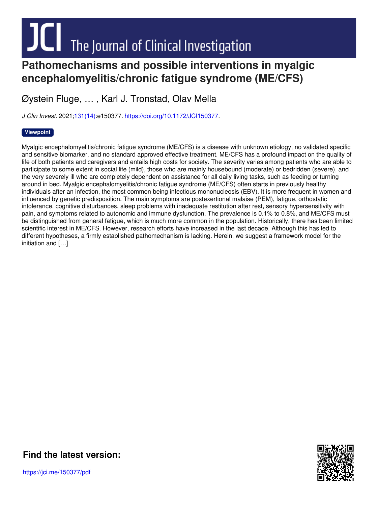# **Pathomechanisms and possible interventions in myalgic**

## **encephalomyelitis/chronic fatigue syndrome (ME/CFS)**

Øystein Fluge, … , Karl J. Tronstad, Olav Mella

*J Clin Invest.* 2021[;131\(14\)](http://www.jci.org/131/14?utm_campaign=cover-page&utm_medium=pdf&utm_source=content):e150377. <https://doi.org/10.1172/JCI150377>.

#### **[Viewpoint](http://www.jci.org/tags/111?utm_campaign=cover-page&utm_medium=pdf&utm_source=content)**

Myalgic encephalomyelitis/chronic fatigue syndrome (ME/CFS) is a disease with unknown etiology, no validated specific and sensitive biomarker, and no standard approved effective treatment. ME/CFS has a profound impact on the quality of life of both patients and caregivers and entails high costs for society. The severity varies among patients who are able to participate to some extent in social life (mild), those who are mainly housebound (moderate) or bedridden (severe), and the very severely ill who are completely dependent on assistance for all daily living tasks, such as feeding or turning around in bed. Myalgic encephalomyelitis/chronic fatigue syndrome (ME/CFS) often starts in previously healthy individuals after an infection, the most common being infectious mononucleosis (EBV). It is more frequent in women and influenced by genetic predisposition. The main symptoms are postexertional malaise (PEM), fatigue, orthostatic intolerance, cognitive disturbances, sleep problems with inadequate restitution after rest, sensory hypersensitivity with pain, and symptoms related to autonomic and immune dysfunction. The prevalence is 0.1% to 0.8%, and ME/CFS must be distinguished from general fatigue, which is much more common in the population. Historically, there has been limited scientific interest in ME/CFS. However, research efforts have increased in the last decade. Although this has led to different hypotheses, a firmly established pathomechanism is lacking. Herein, we suggest a framework model for the initiation and […]



**Find the [latest](https://jci.me/150377/pdf) version:**

https://jci.me/150377/pdf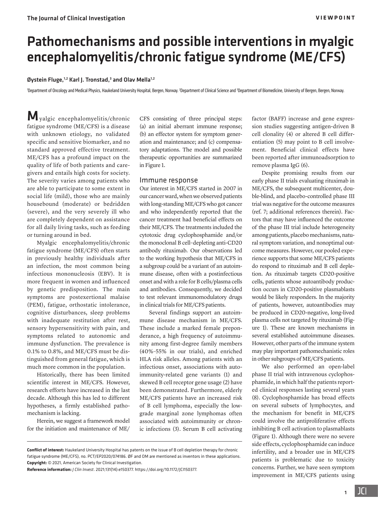### Pathomechanisms and possible interventions in myalgic encephalomyelitis/chronic fatigue syndrome (ME/CFS)

#### Øystein Fluge,<sup>1,2</sup> Karl J. Tronstad,<sup>3</sup> and Olav Mella<sup>1,2</sup>

'Department of Oncology and Medical Physics, Haukeland University Hospital, Bergen, Norway. <sup>2</sup>Department of Clinical Science and <sup>3</sup>Department of Biomedicine, University of Bergen, Bergen, Norway.

Myalgic encephalomyelitis/chronic fatigue syndrome (ME/CFS) is a disease with unknown etiology, no validated specific and sensitive biomarker, and no standard approved effective treatment. ME/CFS has a profound impact on the quality of life of both patients and caregivers and entails high costs for society. The severity varies among patients who are able to participate to some extent in social life (mild), those who are mainly housebound (moderate) or bedridden (severe), and the very severely ill who are completely dependent on assistance for all daily living tasks, such as feeding or turning around in bed.

Myalgic encephalomyelitis/chronic fatigue syndrome (ME/CFS) often starts in previously healthy individuals after an infection, the most common being infectious mononucleosis (EBV). It is more frequent in women and influenced by genetic predisposition. The main symptoms are postexertional malaise (PEM), fatigue, orthostatic intolerance, cognitive disturbances, sleep problems with inadequate restitution after rest, sensory hypersensitivity with pain, and symptoms related to autonomic and immune dysfunction. The prevalence is 0.1% to 0.8%, and ME/CFS must be distinguished from general fatigue, which is much more common in the population.

Historically, there has been limited scientific interest in ME/CFS. However, research efforts have increased in the last decade. Although this has led to different hypotheses, a firmly established pathomechanism is lacking.

Herein, we suggest a framework model for the initiation and maintenance of ME/ CFS consisting of three principal steps: (a) an initial aberrant immune response; (b) an effector system for symptom generation and maintenance; and (c) compensatory adaptations. The model and possible therapeutic opportunities are summarized in [Figure 1.](#page-2-0)

#### Immune response

Our interest in ME/CFS started in 2007 in our cancer ward, when we observed patients with long-standing ME/CFS who got cancer and who independently reported that the cancer treatment had beneficial effects on their ME/CFS. The treatments included the cytotoxic drug cyclophosphamide and/or the monoclonal B cell–depleting anti-CD20 antibody rituximab. Our observations led to the working hypothesis that ME/CFS in a subgroup could be a variant of an autoimmune disease, often with a postinfectious onset and with a role for B cells/plasma cells and antibodies. Consequently, we decided to test relevant immunomodulatory drugs in clinical trials for ME/CFS patients.

Several findings support an autoimmune disease mechanism in ME/CFS. These include a marked female preponderance, a high frequency of autoimmunity among first-degree family members (40%–55% in our trials), and enriched HLA risk alleles. Among patients with an infectious onset, associations with autoimmunity-related gene variants [\(1\)](#page-4-0) and skewed B cell receptor gene usage ([2](#page-4-1)) have been demonstrated. Furthermore, elderly ME/CFS patients have an increased risk of B cell lymphoma, especially the lowgrade marginal zone lymphomas often associated with autoimmunity or chronic infections [\(3\)](#page-4-2). Serum B cell activating

**Conflict of interest:** Haukeland University Hospital has patents on the issue of B cell depletion therapy for chronic fatigue syndrome (ME/CFS), no. PCT/EP2020/074186. ØF and OM are mentioned as inventors in these applications. **Copyright:** © 2021, American Society for Clinical Investigation.

factor (BAFF) increase and gene expression studies suggesting antigen-driven B cell clonality [\(4\)](#page-4-3) or altered B cell differentiation [\(5\)](#page-4-4) may point to B cell involvement. Beneficial clinical effects have been reported after immunoadsorption to remove plasma IgG ([6\)](#page-4-5).

Despite promising results from our early phase II trials evaluating rituximab in ME/CFS, the subsequent multicenter, double-blind, and placebo-controlled phase III trial was negative for the outcome measures (ref. 7; additional references therein). Factors that may have influenced the outcome of the phase III trial include heterogeneity among patients, placebo mechanisms, natural symptom variation, and nonoptimal outcome measures. However, our pooled experience supports that some ME/CFS patients do respond to rituximab and B cell depletion. As rituximab targets CD20-positive cells, patients whose autoantibody production occurs in CD20-positive plasmablasts would be likely responders. In the majority of patients, however, autoantibodies may be produced in CD20-negative, long-lived plasma cells not targeted by rituximab [\(Fig](#page-2-0)[ure 1\)](#page-2-0). These are known mechanisms in several established autoimmune diseases. However, other parts of the immune system may play important pathomechanistic roles in other subgroups of ME/CFS patients.

We also performed an open-label phase II trial with intravenous cyclophosphamide, in which half the patients reported clinical responses lasting several years [\(8](#page-4-6)). Cyclophosphamide has broad effects on several subsets of lymphocytes, and the mechanism for benefit in ME/CFS could involve the antiproliferative effects inhibiting B cell activation to plasmablasts [\(Figure 1\)](#page-2-0). Although there were no severe side effects, cyclophosphamide can induce infertility, and a broader use in ME/CFS patients is problematic due to toxicity concerns. Further, we have seen symptom improvement in ME/CFS patients using

1

**Reference information:** *J Clin Invest*. 2021;131(14):e150377. https://doi.org[/10.1172/JCI150377](https://doi.org/10.1172/JCI150377).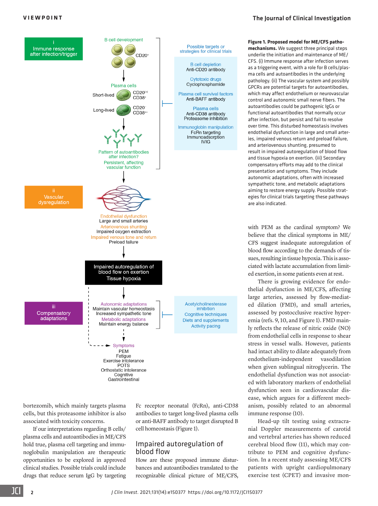#### <span id="page-2-0"></span>**VIEWPOINT** [The Journal of Clinical Investigation](https://www.jci.org)



bortezomib, which mainly targets plasma cells, but this proteasome inhibitor is also associated with toxicity concerns.

If our interpretations regarding B cells/ plasma cells and autoantibodies in ME/CFS hold true, plasma cell targeting and immunoglobulin manipulation are therapeutic opportunities to be explored in approved clinical studies. Possible trials could include drugs that reduce serum IgG by targeting

Fc receptor neonatal (FcRn), anti-CD38 antibodies to target long-lived plasma cells or anti-BAFF antibody to target disrupted B cell homeostasis (Figure 1).

#### Impaired autoregulation of blood flow

How are these proposed immune disturbances and autoantibodies translated to the recognizable clinical picture of ME/CFS, **Figure 1. Proposed model for ME/CFS pathomechanisms.** We suggest three principal steps

underlie the initiation and maintenance of ME/ CFS. (i) Immune response after infection serves as a triggering event, with a role for B cells/plasma cells and autoantibodies in the underlying pathology. (ii) The vascular system and possibly GPCRs are potential targets for autoantibodies, which may affect endothelium or neurovascular control and autonomic small nerve fibers. The autoantibodies could be pathogenic IgGs or functional autoantibodies that normally occur after infection, but persist and fail to resolve over time. This disturbed homeostasis involves endothelial dysfunction in large and small arteries, impaired venous return and preload failure, and arteriovenous shunting, presumed to result in impaired autoregulation of blood flow and tissue hypoxia on exertion. (iii) Secondary compensatory efforts may add to the clinical presentation and symptoms. They include autonomic adaptations, often with increased sympathetic tone, and metabolic adaptations aiming to restore energy supply. Possible strategies for clinical trials targeting these pathways are also indicated.

with PEM as the cardinal symptom? We believe that the clinical symptoms in ME/ CFS suggest inadequate autoregulation of blood flow according to the demands of tissues, resulting in tissue hypoxia. This is associated with lactate accumulation from limited exertion, in some patients even at rest.

There is growing evidence for endothelial dysfunction in ME/CFS, affecting large arteries, assessed by flow-mediated dilation (FMD), and small arteries, assessed by postocclusive reactive hyperemia (refs. 9, 10, and Figure 1). FMD mainly reflects the release of nitric oxide (NO) from endothelial cells in response to shear stress in vessel walls. However, patients had intact ability to dilate adequately from endothelium-independent vasodilation when given sublingual nitroglycerin. The endothelial dysfunction was not associated with laboratory markers of endothelial dysfunction seen in cardiovascular disease, which argues for a different mechanism, possibly related to an abnormal immune response [\(10](#page-4-7)).

Head-up tilt testing using extracranial Doppler measurements of carotid and vertebral arteries has shown reduced cerebral blood flow [\(11\)](#page-4-8), which may contribute to PEM and cognitive dysfunction. In a recent study assessing ME/CFS patients with upright cardiopulmonary exercise test (CPET) and invasive mon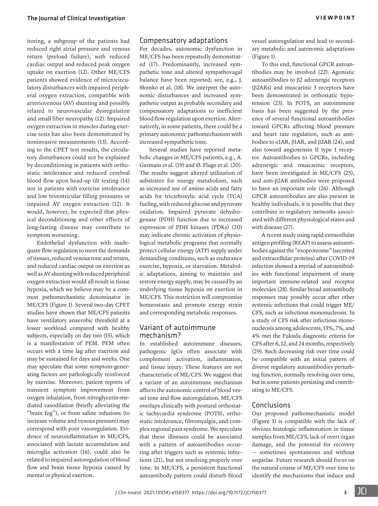itoring, a subgroup of the patients had reduced right atrial pressure and venous return (preload failure), with reduced cardiac output and reduced peak oxygen uptake on exertion ([12](#page-4-22)). Other ME/CFS patients showed evidence of microcirculatory disturbances with impaired peripheral oxygen extraction, compatible with arteriovenous (AV) shunting and possibly related to neurovascular dysregulation and small fiber neuropathy [\(12](#page-4-22)). Impaired oxygen extraction in muscles during exercise tests has also been demonstrated by noninvasive measurements [\(13](#page-4-23)). According to the CPET test results, the circulatory disturbances could not be explained by deconditioning in patients with orthostatic intolerance and reduced cerebral blood flow upon head-up tilt testing [\(14\)](#page-4-24) nor in patients with exercise intolerance and low biventricular filling pressures or impaired AV oxygen extraction ([12\)](#page-4-22). It would, however, be expected that physical deconditioning and other effects of long-lasting disease may contribute to symptom worsening.

Endothelial dysfunction with inadequate flow regulation to meet the demands of tissues, reduced venous tone and return, and reduced cardiac output on exertion as well as AV shunting with reduced peripheral oxygen extraction would all result in tissue hypoxia, which we believe may be a common pathomechanistic denominator in ME/CFS ([Figure 1](#page-2-0)). Several two-day CPET studies have shown that ME/CFS patients have ventilatory anaerobic threshold at a lower workload compared with healthy subjects, especially on day two [\(15\)](#page-4-25), which is a manifestation of PEM. PEM often occurs with a time lag after exertion and may be sustained for days and weeks. One may speculate that some symptom-generating factors are pathologically reinforced by exercise. Moreover, patient reports of transient symptom improvement from oxygen inhalation, from nitroglycerin-mediated vasodilation (briefly alleviating the "brain fog"), or from saline infusions (to increase volume and venous pressure) may correspond with poor vasoregulation. Evidence of neuroinflammation in ME/CFS, associated with lactate accumulation and microglia activation [\(16\)](#page-4-26), could also be related to impaired autoregulation of blood flow and brain tissue hypoxia caused by mental or physical exertion.

#### Compensatory adaptations

For decades, autonomic dysfunction in ME/CFS has been repeatedly demonstrated [\(17](#page-4-17)). Predominantly, increased sympathetic tone and altered sympathovagal balance have been reported; see, e.g., J. Słomko et al. [\(18\)](#page-4-18). We interpret the autonomic disturbances and increased sympathetic output as probable secondary and compensatory adaptations to inefficient blood flow regulation upon exertion. Alternatively, in some patients, there could be a primary autonomic pathomechanism with increased sympathetic tone.

Several studies have reported metabolic changes in ME/CFS patients, e.g., A. Germain et al. [\(19\)](#page-4-19) and Ø. Fluge et al. ([20\)](#page-4-20). The results suggest altered utilization of substrates for energy metabolism, such as increased use of amino acids and fatty acids for tricarboxylic acid cycle (TCA) fueling, with reduced glucose and pyruvate oxidation. Impaired pyruvate dehydrogenase (PDH) function due to increased expression of PDH kinases (PDKs) ([20\)](#page-4-20) may indicate chronic activation of physiological metabolic programs that normally protect cellular energy (ATP) supply under demanding conditions, such as endurance exercise, hypoxia, or starvation. Metabolic adaptations, aiming to maintain and restore energy supply, may be caused by an underlying tissue hypoxia on exertion in ME/CFS. This restriction will compromise homeostasis and promote energy strain and corresponding metabolic responses.

#### Variant of autoimmune mechanism?

In established autoimmune diseases, pathogenic IgGs often associate with complement activation, inflammation, and tissue injury. These features are not characteristic of ME/CFS. We suggest that a variant of an autoimmune mechanism affects the autonomic control of blood vessel tone and flow autoregulation. ME/CFS overlaps clinically with postural orthostatic tachycardia syndrome (POTS), orthostatic intolerance, fibromyalgia, and complex regional pain syndrome. We speculate that these illnesses could be associated with a pattern of autoantibodies occurring after triggers such as systemic infections [\(21\)](#page-4-21), but not resolving properly over time. In ME/CFS, a persistent functional autoantibody pattern could disturb blood

vessel autoregulation and lead to secondary metabolic and autonomic adaptations [\(Figure 1\)](#page-2-0).

To this end, functional GPCR autoantibodies may be involved [\(22\)](#page-4-9). Agonistic autoantibodies to β2 adrenergic receptors (β2ARs) and muscarinic 3 receptors have been demonstrated in orthostatic hypotension ([23\)](#page-4-10). In POTS, an autoimmune basis has been suggested by the presence of several functional autoantibodies toward GPCRs affecting blood pressure and heart rate regulation, such as antibodies to α1AR, β1AR, and β2AR ([24](#page-4-11)), and also toward angiotensin II type 1 receptor. Autoantibodies to GPCRs, including adrenergic and muscarinic receptors, have been investigated in ME/CFS ([25\)](#page-4-12), and anti-β2AR antibodies were proposed to have an important role [\(26\)](#page-4-13). Although GPCR autoantibodies are also present in healthy individuals, it is possible that they contribute in regulatory networks associated with different physiological states and with disease [\(27](#page-4-14)).

A recent study using rapid extracellular antigen profiling (REAP) to assess autoantibodies against the "exoproteome" (secreted and extracellular proteins) after COVID-19 infection showed a myriad of autoantibodies with functional impairment of many important immune-related and receptor molecules [\(28](#page-4-15)). Similar broad autoantibody responses may possibly occur after other systemic infections that could trigger ME/ CFS, such as infectious mononucleosis. In a study of CFS risk after infectious mononucleosis among adolescents, 13%, 7%, and 4% met the Fukuda diagnostic criteria for CFS after 6, 12, and 24 months, respectively [\(29](#page-4-16)). Such decreasing risk over time could be compatible with an initial pattern of diverse regulatory autoantibodies perturbing function, normally resolving over time, but in some patients persisting and contributing to ME/CFS.

#### Conclusions

Our proposed pathomechanistic model [\(Figure 1\)](#page-2-0) is compatible with the lack of obvious histologic inflammation in tissue samples from ME/CFS, lack of overt organ damage, and the potential for recovery — sometimes spontaneous and without sequelae. Future research should focus on the natural course of ME/CFS over time to identify the mechanisms that induce and